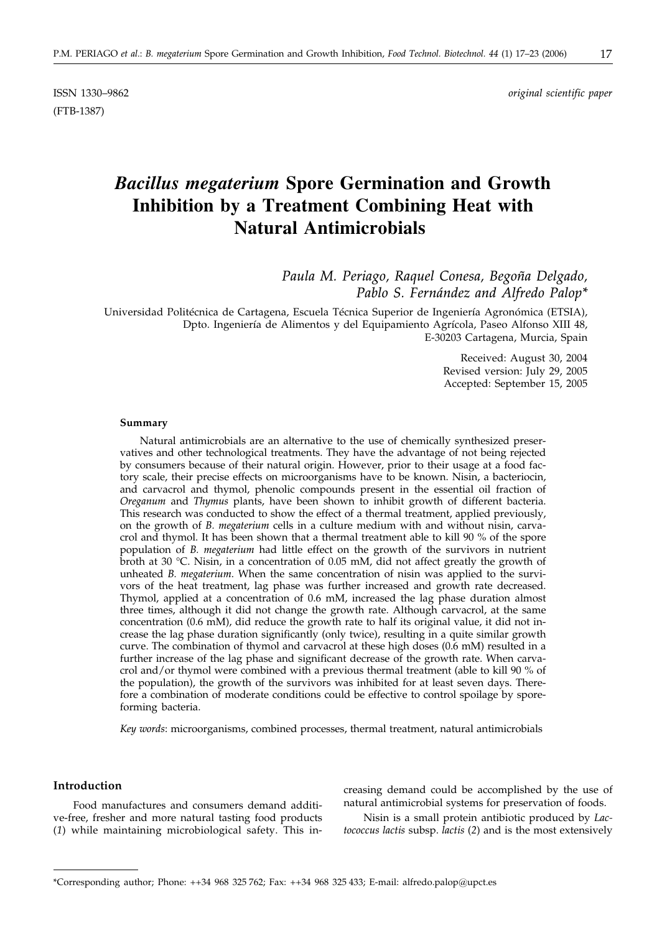ISSN 1330–9862 *original scientific paper*

# *Bacillus megaterium* **Spore Germination and Growth Inhibition by a Treatment Combining Heat with Natural Antimicrobials**

*Paula M. Periago, Raquel Conesa, Begoña Delgado, Pablo S. Fernández and Alfredo Palop\**

Universidad Politécnica de Cartagena, Escuela Técnica Superior de Ingeniería Agronómica (ETSIA), Dpto. Ingeniería de Alimentos y del Equipamiento Agrícola, Paseo Alfonso XIII 48, E-30203 Cartagena, Murcia, Spain

> Received: August 30, 2004 Revised version: July 29, 2005 Accepted: September 15, 2005

#### **Summary**

(FTB-1387)

Natural antimicrobials are an alternative to the use of chemically synthesized preservatives and other technological treatments. They have the advantage of not being rejected by consumers because of their natural origin. However, prior to their usage at a food factory scale, their precise effects on microorganisms have to be known. Nisin, a bacteriocin, and carvacrol and thymol, phenolic compounds present in the essential oil fraction of *Oreganum* and *Thymus* plants, have been shown to inhibit growth of different bacteria. This research was conducted to show the effect of a thermal treatment, applied previously, on the growth of *B. megaterium* cells in a culture medium with and without nisin, carvacrol and thymol. It has been shown that a thermal treatment able to kill 90 % of the spore population of *B. megaterium* had little effect on the growth of the survivors in nutrient broth at 30 °C. Nisin, in a concentration of 0.05 mM, did not affect greatly the growth of unheated *B. megaterium*. When the same concentration of nisin was applied to the survivors of the heat treatment, lag phase was further increased and growth rate decreased. Thymol, applied at a concentration of 0.6 mM, increased the lag phase duration almost three times, although it did not change the growth rate. Although carvacrol, at the same concentration (0.6 mM), did reduce the growth rate to half its original value, it did not increase the lag phase duration significantly (only twice), resulting in a quite similar growth curve. The combination of thymol and carvacrol at these high doses (0.6 mM) resulted in a further increase of the lag phase and significant decrease of the growth rate. When carvacrol and/or thymol were combined with a previous thermal treatment (able to kill 90 % of the population), the growth of the survivors was inhibited for at least seven days. Therefore a combination of moderate conditions could be effective to control spoilage by sporeforming bacteria.

*Key words*: microorganisms, combined processes, thermal treatment, natural antimicrobials

# **Introduction**

Food manufactures and consumers demand additive-free, fresher and more natural tasting food products (*1*) while maintaining microbiological safety. This increasing demand could be accomplished by the use of natural antimicrobial systems for preservation of foods.

Nisin is a small protein antibiotic produced by *Lactococcus lactis* subsp. *lactis* (*2*) and is the most extensively

<sup>\*</sup>Corresponding author; Phone: ++34 968 325 762; Fax: ++34 968 325 433; E-mail: alfredo.palop*@*upct.es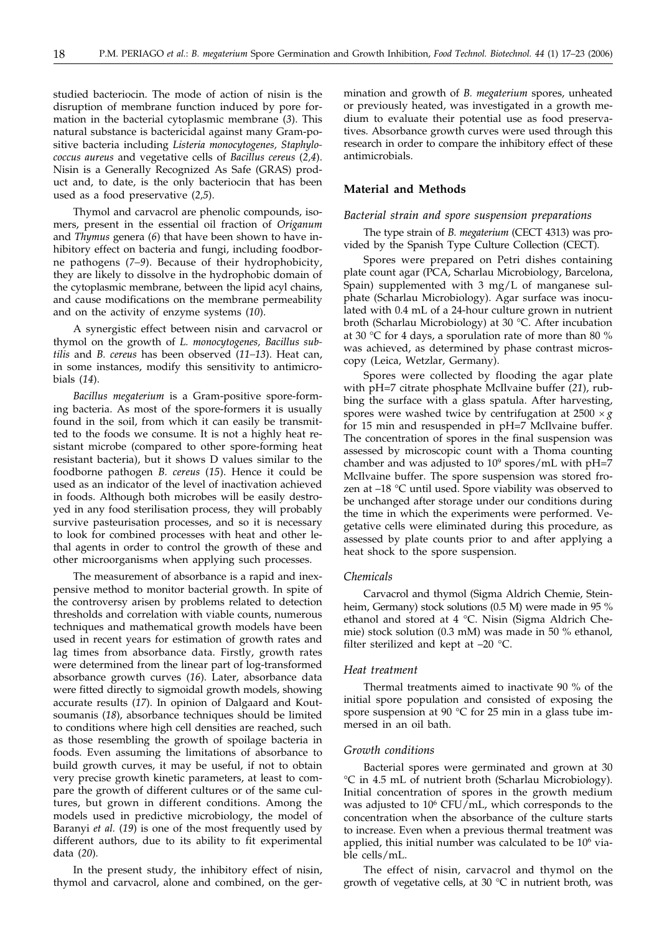studied bacteriocin. The mode of action of nisin is the disruption of membrane function induced by pore formation in the bacterial cytoplasmic membrane (*3*). This natural substance is bactericidal against many Gram-positive bacteria including *Listeria monocytogenes, Staphylococcus aureus* and vegetative cells of *Bacillus cereus* (*2,4*). Nisin is a Generally Recognized As Safe (GRAS) product and, to date, is the only bacteriocin that has been used as a food preservative (*2,5*).

Thymol and carvacrol are phenolic compounds, isomers, present in the essential oil fraction of *Origanum* and *Thymus* genera (*6*) that have been shown to have inhibitory effect on bacteria and fungi, including foodborne pathogens (*7–9*). Because of their hydrophobicity, they are likely to dissolve in the hydrophobic domain of the cytoplasmic membrane, between the lipid acyl chains, and cause modifications on the membrane permeability and on the activity of enzyme systems (*10*).

A synergistic effect between nisin and carvacrol or thymol on the growth of *L. monocytogenes, Bacillus subtilis* and *B. cereus* has been observed (*11–13*). Heat can, in some instances, modify this sensitivity to antimicrobials (*14*).

*Bacillus megaterium* is a Gram-positive spore-forming bacteria. As most of the spore-formers it is usually found in the soil, from which it can easily be transmitted to the foods we consume. It is not a highly heat resistant microbe (compared to other spore-forming heat resistant bacteria), but it shows D values similar to the foodborne pathogen *B. cereus* (*15*). Hence it could be used as an indicator of the level of inactivation achieved in foods. Although both microbes will be easily destroyed in any food sterilisation process, they will probably survive pasteurisation processes, and so it is necessary to look for combined processes with heat and other lethal agents in order to control the growth of these and other microorganisms when applying such processes.

The measurement of absorbance is a rapid and inexpensive method to monitor bacterial growth. In spite of the controversy arisen by problems related to detection thresholds and correlation with viable counts, numerous techniques and mathematical growth models have been used in recent years for estimation of growth rates and lag times from absorbance data. Firstly, growth rates were determined from the linear part of log-transformed absorbance growth curves (*16*). Later, absorbance data were fitted directly to sigmoidal growth models, showing accurate results (*17*). In opinion of Dalgaard and Koutsoumanis (*18*), absorbance techniques should be limited to conditions where high cell densities are reached, such as those resembling the growth of spoilage bacteria in foods. Even assuming the limitations of absorbance to build growth curves, it may be useful, if not to obtain very precise growth kinetic parameters, at least to compare the growth of different cultures or of the same cultures, but grown in different conditions. Among the models used in predictive microbiology, the model of Baranyi *et al.* (*19*) is one of the most frequently used by different authors, due to its ability to fit experimental data (*20*).

In the present study, the inhibitory effect of nisin, thymol and carvacrol, alone and combined, on the germination and growth of *B. megaterium* spores, unheated or previously heated, was investigated in a growth medium to evaluate their potential use as food preservatives. Absorbance growth curves were used through this research in order to compare the inhibitory effect of these antimicrobials.

## **Material and Methods**

#### *Bacterial strain and spore suspension preparations*

The type strain of *B. megaterium* (CECT 4313) was provided by the Spanish Type Culture Collection (CECT).

Spores were prepared on Petri dishes containing plate count agar (PCA, Scharlau Microbiology, Barcelona, Spain) supplemented with 3 mg/L of manganese sulphate (Scharlau Microbiology). Agar surface was inoculated with 0.4 mL of a 24-hour culture grown in nutrient broth (Scharlau Microbiology) at 30 °C. After incubation at 30 °C for 4 days, a sporulation rate of more than 80 % was achieved, as determined by phase contrast microscopy (Leica, Wetzlar, Germany).

Spores were collected by flooding the agar plate with pH=7 citrate phosphate McIlvaine buffer (*21*), rubbing the surface with a glass spatula. After harvesting, spores were washed twice by centrifugation at  $2500 \times g$ for 15 min and resuspended in pH=7 McIlvaine buffer. The concentration of spores in the final suspension was assessed by microscopic count with a Thoma counting chamber and was adjusted to  $10^9$  spores/mL with pH=7 McIlvaine buffer. The spore suspension was stored frozen at –18 °C until used. Spore viability was observed to be unchanged after storage under our conditions during the time in which the experiments were performed. Vegetative cells were eliminated during this procedure, as assessed by plate counts prior to and after applying a heat shock to the spore suspension.

#### *Chemicals*

Carvacrol and thymol (Sigma Aldrich Chemie, Steinheim, Germany) stock solutions (0.5 M) were made in 95 % ethanol and stored at 4 °C. Nisin (Sigma Aldrich Chemie) stock solution (0.3 mM) was made in 50 % ethanol, filter sterilized and kept at  $-20$  °C.

#### *Heat treatment*

Thermal treatments aimed to inactivate 90 % of the initial spore population and consisted of exposing the spore suspension at 90  $\degree$ C for 25 min in a glass tube immersed in an oil bath.

#### *Growth conditions*

Bacterial spores were germinated and grown at 30 °C in 4.5 mL of nutrient broth (Scharlau Microbiology). Initial concentration of spores in the growth medium was adjusted to  $10^6$  CFU/mL, which corresponds to the concentration when the absorbance of the culture starts to increase. Even when a previous thermal treatment was applied, this initial number was calculated to be  $10<sup>6</sup>$  viable cells/mL.

The effect of nisin, carvacrol and thymol on the growth of vegetative cells, at 30 °C in nutrient broth, was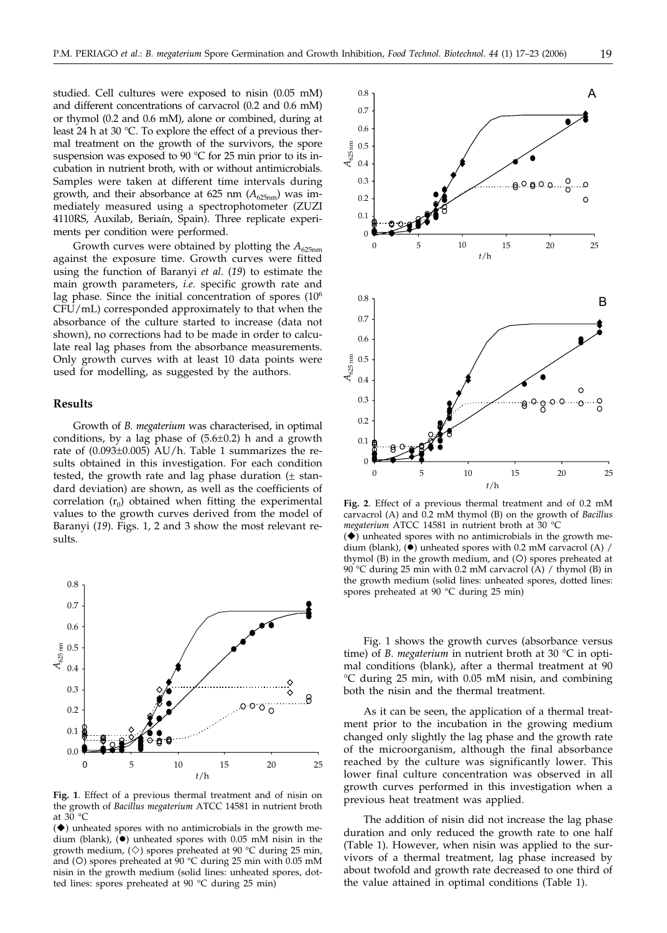studied. Cell cultures were exposed to nisin (0.05 mM) and different concentrations of carvacrol (0.2 and 0.6 mM) or thymol (0.2 and 0.6 mM), alone or combined, during at least 24 h at 30 °C. To explore the effect of a previous thermal treatment on the growth of the survivors, the spore suspension was exposed to 90 °C for 25 min prior to its incubation in nutrient broth, with or without antimicrobials. Samples were taken at different time intervals during growth, and their absorbance at 625 nm  $(A_{625nm})$  was immediately measured using a spectrophotometer (ZUZI 4110RS, Auxilab, Beriaín, Spain). Three replicate experiments per condition were performed.

Growth curves were obtained by plotting the  $A_{625nm}$ against the exposure time. Growth curves were fitted using the function of Baranyi *et al*. (*19*) to estimate the main growth parameters, *i.e.* specific growth rate and lag phase. Since the initial concentration of spores (10<sup>6</sup>) CFU/mL) corresponded approximately to that when the absorbance of the culture started to increase (data not shown), no corrections had to be made in order to calculate real lag phases from the absorbance measurements. Only growth curves with at least 10 data points were used for modelling, as suggested by the authors.

## **Results**

Growth of *B. megaterium* was characterised, in optimal conditions, by a lag phase of  $(5.6\pm0.2)$  h and a growth rate of (0.093±0.005) AU/h. Table 1 summarizes the results obtained in this investigation. For each condition tested, the growth rate and lag phase duration  $(±$  standard deviation) are shown, as well as the coefficients of correlation  $(r_0)$  obtained when fitting the experimental values to the growth curves derived from the model of Baranyi (*19*). Figs. 1, 2 and 3 show the most relevant results.



**Fig. 1**. Effect of a previous thermal treatment and of nisin on the growth of *Bacillus megaterium* ATCC 14581 in nutrient broth at 30 °C

 $(\blacklozenge)$  unheated spores with no antimicrobials in the growth medium (blank),  $\ddot{(-)}$  unheated spores with 0.05 mM nisin in the growth medium,  $(\diamond)$  spores preheated at 90 °C during 25 min, and (O) spores preheated at  $90 °C$  during 25 min with 0.05 mM nisin in the growth medium (solid lines: unheated spores, dotted lines: spores preheated at 90 °C during 25 min)



**Fig. 2**. Effect of a previous thermal treatment and of 0.2 mM carvacrol (A) and 0.2 mM thymol (B) on the growth of *Bacillus megaterium* ATCC 14581 in nutrient broth at 30 °C  $(\blacklozenge)$  unheated spores with no antimicrobials in the growth me-

dium (blank),  $(\bullet)$  unheated spores with 0.2 mM carvacrol (A) / thymol  $(B)$  in the growth medium, and  $(O)$  spores preheated at 90 °C during 25 min with 0.2 mM carvacrol (A) / thymol (B) in the growth medium (solid lines: unheated spores, dotted lines: spores preheated at 90 °C during 25 min)

Fig. 1 shows the growth curves (absorbance versus time) of *B. megaterium* in nutrient broth at 30 °C in optimal conditions (blank), after a thermal treatment at 90 °C during 25 min, with 0.05 mM nisin, and combining both the nisin and the thermal treatment.

As it can be seen, the application of a thermal treatment prior to the incubation in the growing medium changed only slightly the lag phase and the growth rate of the microorganism, although the final absorbance reached by the culture was significantly lower. This lower final culture concentration was observed in all growth curves performed in this investigation when a previous heat treatment was applied.

The addition of nisin did not increase the lag phase duration and only reduced the growth rate to one half (Table 1). However, when nisin was applied to the survivors of a thermal treatment, lag phase increased by about twofold and growth rate decreased to one third of the value attained in optimal conditions (Table 1).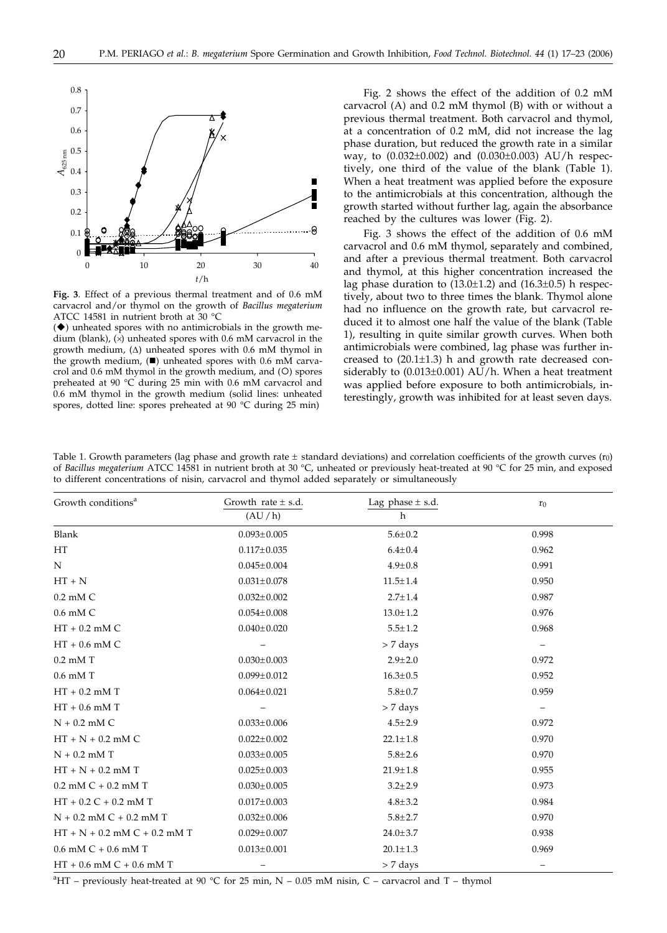

**Fig. 3**. Effect of a previous thermal treatment and of 0.6 mM carvacrol and/or thymol on the growth of *Bacillus megaterium* ATCC 14581 in nutrient broth at 30 °C

 $(\blacklozenge)$  unheated spores with no antimicrobials in the growth medium (blank),  $(x)$  unheated spores with 0.6 mM carvacrol in the growth medium,  $(\Delta)$  unheated spores with 0.6 mM thymol in the growth medium,  $(\blacksquare)$  unheated spores with 0.6 mM carvacrol and  $0.6$  mM thymol in the growth medium, and  $(O)$  spores preheated at 90 °C during 25 min with 0.6 mM carvacrol and 0.6 mM thymol in the growth medium (solid lines: unheated spores, dotted line: spores preheated at 90 °C during 25 min)

Fig. 2 shows the effect of the addition of 0.2 mM carvacrol (A) and 0.2 mM thymol (B) with or without a previous thermal treatment. Both carvacrol and thymol, at a concentration of 0.2 mM, did not increase the lag phase duration, but reduced the growth rate in a similar way, to  $(0.032 \pm 0.002)$  and  $(0.030 \pm 0.003)$  AU/h respectively, one third of the value of the blank (Table 1). When a heat treatment was applied before the exposure to the antimicrobials at this concentration, although the growth started without further lag, again the absorbance reached by the cultures was lower (Fig. 2).

Fig. 3 shows the effect of the addition of 0.6 mM carvacrol and 0.6 mM thymol, separately and combined, and after a previous thermal treatment. Both carvacrol and thymol, at this higher concentration increased the lag phase duration to  $(13.0 \pm 1.2)$  and  $(16.3 \pm 0.5)$  h respectively, about two to three times the blank. Thymol alone had no influence on the growth rate, but carvacrol reduced it to almost one half the value of the blank (Table 1), resulting in quite similar growth curves. When both antimicrobials were combined, lag phase was further increased to (20.1-1.3) h and growth rate decreased considerably to (0.013 $\pm$ 0.001) AU/h. When a heat treatment was applied before exposure to both antimicrobials, interestingly, growth was inhibited for at least seven days.

Table 1. Growth parameters (lag phase and growth rate  $\pm$  standard deviations) and correlation coefficients of the growth curves ( $r_0$ ) of *Bacillus megaterium* ATCC 14581 in nutrient broth at 30 °C, unheated or previously heat-treated at 90 °C for 25 min, and exposed to different concentrations of nisin, carvacrol and thymol added separately or simultaneously

| Growth conditions <sup>a</sup>   | Growth rate $\pm$ s.d.<br>(AU/h) | Lag phase $\pm$ s.d.<br>h | r <sub>0</sub>           |
|----------------------------------|----------------------------------|---------------------------|--------------------------|
|                                  |                                  |                           |                          |
| HT                               | $0.117 \pm 0.035$                | $6.4{\pm}0.4$             | 0.962                    |
| N                                | $0.045 \pm 0.004$                | $4.9 \pm 0.8$             | 0.991                    |
| $HT + N$                         | $0.031 \pm 0.078$                | $11.5 \pm 1.4$            | 0.950                    |
| $0.2$ mM $C$                     | $0.032 \pm 0.002$                | $2.7 \pm 1.4$             | 0.987                    |
| 0.6 mM C                         | $0.054 \pm 0.008$                | $13.0 \pm 1.2$            | 0.976                    |
| $HT + 0.2$ mM $C$                | $0.040 \pm 0.020$                | $5.5 \pm 1.2$             | 0.968                    |
| $HT + 0.6$ mM $C$                |                                  | $> 7$ days                | $\qquad \qquad -$        |
| $0.2$ mM T                       | $0.030 \pm 0.003$                | $2.9 \pm 2.0$             | 0.972                    |
| $0.6$ mM T                       | $0.099 \pm 0.012$                | $16.3 \pm 0.5$            | 0.952                    |
| $HT + 0.2$ mM T                  | $0.064 \pm 0.021$                | $5.8 \pm 0.7$             | 0.959                    |
| $HT + 0.6$ mM T                  |                                  | $> 7$ days                | $\overline{\phantom{0}}$ |
| $N + 0.2$ mM C                   | $0.033 \pm 0.006$                | $4.5 \pm 2.9$             | 0.972                    |
| $HT + N + 0.2$ mM C              | $0.022 \pm 0.002$                | $22.1 \pm 1.8$            | 0.970                    |
| $N + 0.2$ mM T                   | $0.033 \pm 0.005$                | $5.8 \pm 2.6$             | 0.970                    |
| $HT + N + 0.2$ mM T              | $0.025 \pm 0.003$                | $21.9 \pm 1.8$            | 0.955                    |
| $0.2$ mM $C + 0.2$ mM T          | $0.030 \pm 0.005$                | $3.2 \pm 2.9$             | 0.973                    |
| $HT + 0.2 C + 0.2$ mM T          | $0.017 \pm 0.003$                | $4.8 + 3.2$               | 0.984                    |
| $N + 0.2$ mM $C + 0.2$ mM T      | $0.032 \pm 0.006$                | $5.8 \pm 2.7$             | 0.970                    |
| $HT + N + 0.2$ mM $C + 0.2$ mM T | $0.029 \pm 0.007$                | $24.0 \pm 3.7$            | 0.938                    |
| $0.6$ mM C + $0.6$ mM T          | $0.013 \pm 0.001$                | $20.1 \pm 1.3$            | 0.969                    |
| $HT + 0.6$ mM $C + 0.6$ mM T     |                                  | $> 7$ days                |                          |

 $\rm{^{a}HT}$  – previously heat-treated at 90 °C for 25 min, N – 0.05 mM nisin, C – carvacrol and T – thymol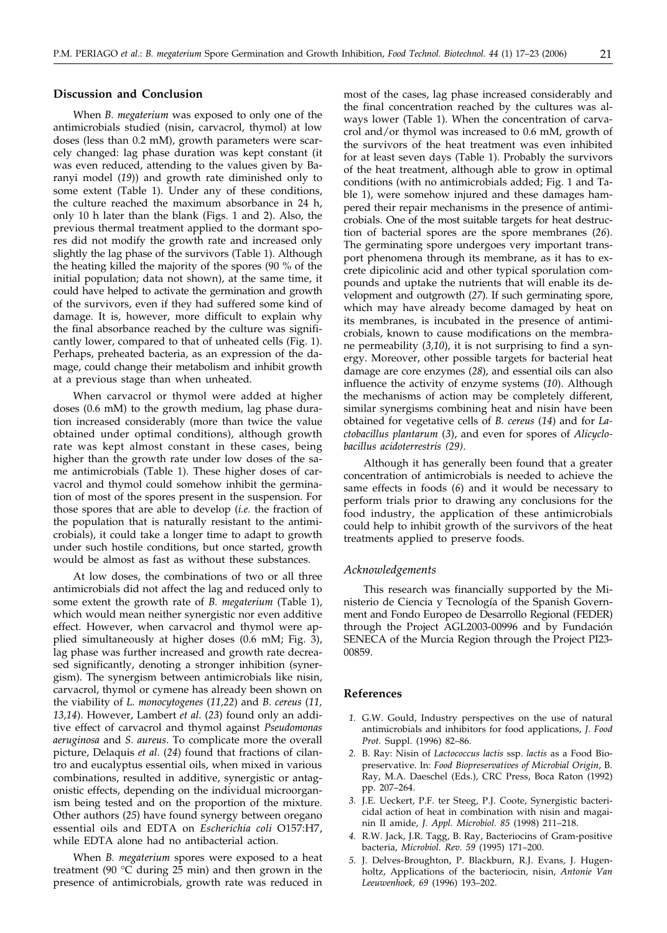# **Discussion and Conclusion**

When *B. megaterium* was exposed to only one of the antimicrobials studied (nisin, carvacrol, thymol) at low doses (less than 0.2 mM), growth parameters were scarcely changed: lag phase duration was kept constant (it was even reduced, attending to the values given by Baranyi model (*19*)) and growth rate diminished only to some extent (Table 1). Under any of these conditions, the culture reached the maximum absorbance in 24 h, only 10 h later than the blank (Figs. 1 and 2). Also, the previous thermal treatment applied to the dormant spores did not modify the growth rate and increased only slightly the lag phase of the survivors (Table 1). Although the heating killed the majority of the spores (90 % of the initial population; data not shown), at the same time, it could have helped to activate the germination and growth of the survivors, even if they had suffered some kind of damage. It is, however, more difficult to explain why the final absorbance reached by the culture was significantly lower, compared to that of unheated cells (Fig. 1). Perhaps, preheated bacteria, as an expression of the damage, could change their metabolism and inhibit growth at a previous stage than when unheated.

When carvacrol or thymol were added at higher doses (0.6 mM) to the growth medium, lag phase duration increased considerably (more than twice the value obtained under optimal conditions), although growth rate was kept almost constant in these cases, being higher than the growth rate under low doses of the same antimicrobials (Table 1). These higher doses of carvacrol and thymol could somehow inhibit the germination of most of the spores present in the suspension. For those spores that are able to develop (*i.e.* the fraction of the population that is naturally resistant to the antimicrobials), it could take a longer time to adapt to growth under such hostile conditions, but once started, growth would be almost as fast as without these substances.

At low doses, the combinations of two or all three antimicrobials did not affect the lag and reduced only to some extent the growth rate of *B. megaterium* (Table 1), which would mean neither synergistic nor even additive effect. However, when carvacrol and thymol were applied simultaneously at higher doses (0.6 mM; Fig. 3), lag phase was further increased and growth rate decreased significantly, denoting a stronger inhibition (synergism). The synergism between antimicrobials like nisin, carvacrol, thymol or cymene has already been shown on the viability of *L. monocytogenes* (*11,22*) and *B. cereus* (*11, 13,14*). However, Lambert *et al*. (*23*) found only an additive effect of carvacrol and thymol against *Pseudomonas aeruginosa* and *S. aureus*. To complicate more the overall picture, Delaquis *et al*. (*24*) found that fractions of cilantro and eucalyptus essential oils, when mixed in various combinations, resulted in additive, synergistic or antagonistic effects, depending on the individual microorganism being tested and on the proportion of the mixture. Other authors (*25*) have found synergy between oregano essential oils and EDTA on *Escherichia coli* O157:H7, while EDTA alone had no antibacterial action.

When *B. megaterium* spores were exposed to a heat treatment (90 °C during 25 min) and then grown in the presence of antimicrobials, growth rate was reduced in most of the cases, lag phase increased considerably and the final concentration reached by the cultures was always lower (Table 1). When the concentration of carvacrol and/or thymol was increased to 0.6 mM, growth of the survivors of the heat treatment was even inhibited for at least seven days (Table 1). Probably the survivors of the heat treatment, although able to grow in optimal conditions (with no antimicrobials added; Fig. 1 and Table 1), were somehow injured and these damages hampered their repair mechanisms in the presence of antimicrobials. One of the most suitable targets for heat destruction of bacterial spores are the spore membranes (*26*). The germinating spore undergoes very important transport phenomena through its membrane, as it has to excrete dipicolinic acid and other typical sporulation compounds and uptake the nutrients that will enable its development and outgrowth (*27*). If such germinating spore, which may have already become damaged by heat on its membranes, is incubated in the presence of antimicrobials, known to cause modifications on the membrane permeability (*3,10*), it is not surprising to find a synergy. Moreover, other possible targets for bacterial heat damage are core enzymes (*28*), and essential oils can also influence the activity of enzyme systems (*10*). Although the mechanisms of action may be completely different, similar synergisms combining heat and nisin have been obtained for vegetative cells of *B. cereus* (*14*) and for *Lactobacillus plantarum* (*3*), and even for spores of *Alicyclobacillus acidoterrestris (29)*.

Although it has generally been found that a greater concentration of antimicrobials is needed to achieve the same effects in foods (*6*) and it would be necessary to perform trials prior to drawing any conclusions for the food industry, the application of these antimicrobials could help to inhibit growth of the survivors of the heat treatments applied to preserve foods.

# *Acknowledgements*

This research was financially supported by the Ministerio de Ciencia y Tecnología of the Spanish Government and Fondo Europeo de Desarrollo Regional (FEDER) through the Project AGL2003-00996 and by Fundación SENECA of the Murcia Region through the Project PI23- 00859.

# **References**

- *1.* G.W. Gould, Industry perspectives on the use of natural antimicrobials and inhibitors for food applications, *J. Food Prot.* Suppl. (1996) 82–86.
- *2.* B. Ray: Nisin of *Lactococcus lactis* ssp. *lactis* as a Food Biopreservative. In: *Food Biopreservatives of Microbial Origin*, B. Ray, M.A. Daeschel (Eds.), CRC Press, Boca Raton (1992) pp. 207–264.
- *3.* J.E. Ueckert, P.F. ter Steeg, P.J. Coote, Synergistic bactericidal action of heat in combination with nisin and magainin II amide, *J. Appl. Microbiol. 85* (1998) 211–218.
- *4.* R.W. Jack, J.R. Tagg, B. Ray, Bacteriocins of Gram-positive bacteria, *Microbiol. Rev. 59* (1995) 171–200.
- *5.* J. Delves-Broughton, P. Blackburn, R.J. Evans, J. Hugenholtz, Applications of the bacteriocin, nisin, *Antonie Van Leeuwenhoek, 69* (1996) 193–202.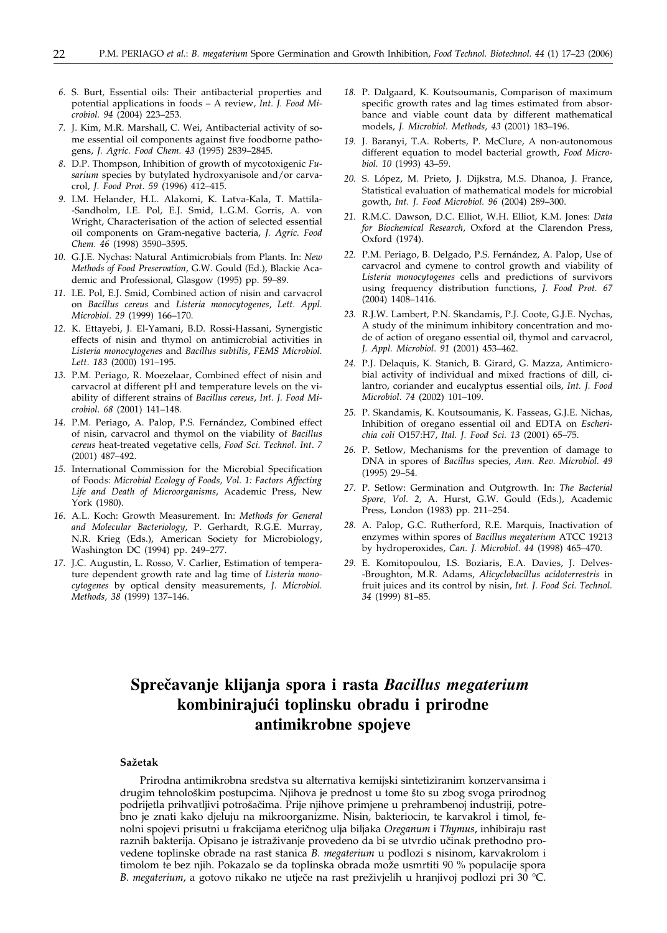- *6.* S. Burt, Essential oils: Their antibacterial properties and potential applications in foods – A review, *Int. J. Food Microbiol. 94* (2004) 223–253.
- *7.* J. Kim, M.R. Marshall, C. Wei, Antibacterial activity of some essential oil components against five foodborne pathogens, *J. Agric. Food Chem. 43* (1995) 2839–2845.
- *8.* D.P. Thompson, Inhibition of growth of mycotoxigenic *Fusarium* species by butylated hydroxyanisole and/or carvacrol, *J. Food Prot. 59* (1996) 412–415.
- *9.* I.M. Helander, H.L. Alakomi, K. Latva-Kala, T. Mattila- -Sandholm, I.E. Pol, E.J. Smid, L.G.M. Gorris, A. von Wright, Characterisation of the action of selected essential oil components on Gram-negative bacteria, *J. Agric. Food Chem. 46* (1998) 3590–3595.
- *10.* G.J.E. Nychas: Natural Antimicrobials from Plants. In: *New Methods of Food Preservation*, G.W. Gould (Ed.), Blackie Academic and Professional, Glasgow (1995) pp. 59–89.
- *11.* I.E. Pol, E.J. Smid, Combined action of nisin and carvacrol on *Bacillus cereus* and *Listeria monocytogenes*, *Lett. Appl. Microbiol*. *29* (1999) 166–170.
- *12.* K. Ettayebi, J. El-Yamani, B.D. Rossi-Hassani, Synergistic effects of nisin and thymol on antimicrobial activities in *Listeria monocytogenes* and *Bacillus subtilis*, *FEMS Microbiol. Lett*. *183* (2000) 191–195.
- *13.* P.M. Periago, R. Moezelaar, Combined effect of nisin and carvacrol at different pH and temperature levels on the viability of different strains of *Bacillus cereus*, *Int. J. Food Microbiol*. *68* (2001) 141–148.
- *14.* P.M. Periago, A. Palop, P.S. Fernández, Combined effect of nisin, carvacrol and thymol on the viability of *Bacillus cereus* heat-treated vegetative cells, *Food Sci. Technol. Int*. *7* (2001) 487–492.
- *15.* International Commission for the Microbial Specification of Foods: *Microbial Ecology of Foods, Vol. 1: Factors Affecting Life and Death of Microorganisms*, Academic Press, New York (1980).
- *16.* A.L. Koch: Growth Measurement. In: *Methods for General and Molecular Bacteriology*, P. Gerhardt, R.G.E. Murray, N.R. Krieg (Eds.), American Society for Microbiology, Washington DC (1994) pp. 249–277.
- *17.* J.C. Augustin, L. Rosso, V. Carlier, Estimation of temperature dependent growth rate and lag time of *Listeria monocytogenes* by optical density measurements, *J. Microbiol. Methods, 38* (1999) 137–146.
- *18.* P. Dalgaard, K. Koutsoumanis, Comparison of maximum specific growth rates and lag times estimated from absorbance and viable count data by different mathematical models, *J. Microbiol. Methods, 43* (2001) 183–196.
- *19.* J. Baranyi, T.A. Roberts, P. McClure, A non-autonomous different equation to model bacterial growth, *Food Microbiol. 10* (1993) 43–59.
- *20.* S. López, M. Prieto, J. Dijkstra, M.S. Dhanoa, J. France, Statistical evaluation of mathematical models for microbial gowth, *Int. J. Food Microbiol. 96* (2004) 289–300.
- *21.* R.M.C. Dawson, D.C. Elliot, W.H. Elliot, K.M. Jones: *Data for Biochemical Research*, Oxford at the Clarendon Press, Oxford (1974).
- *22.* P.M. Periago, B. Delgado, P.S. Fernández, A. Palop, Use of carvacrol and cymene to control growth and viability of *Listeria monocytogenes* cells and predictions of survivors using frequency distribution functions, *J. Food Prot. 67* (2004) 1408–1416.
- *23.* R.J.W. Lambert, P.N. Skandamis, P.J. Coote, G.J.E. Nychas, A study of the minimum inhibitory concentration and mode of action of oregano essential oil, thymol and carvacrol, *J. Appl. Microbiol*. *91* (2001) 453–462.
- *24.* P.J. Delaquis, K. Stanich, B. Girard, G. Mazza, Antimicrobial activity of individual and mixed fractions of dill, cilantro, coriander and eucalyptus essential oils, *Int. J. Food Microbiol*. *74* (2002) 101–109.
- *25.* P. Skandamis, K. Koutsoumanis, K. Fasseas, G.J.E. Nichas, Inhibition of oregano essential oil and EDTA on *Escherichia coli* O157:H7, *Ital. J. Food Sci. 13* (2001) 65–75.
- *26.* P. Setlow, Mechanisms for the prevention of damage to DNA in spores of *Bacillus* species, *Ann. Rev. Microbiol. 49* (1995) 29–54.
- *27.* P. Setlow: Germination and Outgrowth. In: *The Bacterial Spore, Vol. 2,* A. Hurst, G.W. Gould (Eds.), Academic Press, London (1983) pp. 211–254.
- *28.* A. Palop, G.C. Rutherford, R.E. Marquis, Inactivation of enzymes within spores of *Bacillus megaterium* ATCC 19213 by hydroperoxides, *Can. J. Microbiol*. *44* (1998) 465–470.
- *29.* E. Komitopoulou, I.S. Boziaris, E.A. Davies, J. Delves- -Broughton, M.R. Adams, *Alicyclobacillus acidoterrestris* in fruit juices and its control by nisin, *Int. J. Food Sci. Technol. 34* (1999) 81–85.

# **Spre~avanje klijanja spora i rasta** *Bacillus megaterium* **kombiniraju}i toplinsku obradu i prirodne antimikrobne spojeve**

#### **Sa`etak**

Prirodna antimikrobna sredstva su alternativa kemijski sintetiziranim konzervansima i drugim tehnološkim postupcima. Njihova je prednost u tome što su zbog svoga prirodnog podrijetla prihvatljivi potrošačima. Prije njihove primjene u prehrambenoj industriji, potrebno je znati kako djeluju na mikroorganizme. Nisin, bakteriocin, te karvakrol i timol, fenolni spojevi prisutni u frakcijama eteri~nog ulja biljaka *Oreganum* i *Thymus*, inhibiraju rast raznih bakterija. Opisano je istraživanje provedeno da bi se utvrdio učinak prethodno provedene toplinske obrade na rast stanica *B. megaterium* u podlozi s nisinom, karvakrolom i timolom te bez njih. Pokazalo se da toplinska obrada može usmrtiti 90 % populacije spora *B. megaterium*, a gotovo nikako ne utječe na rast preživjelih u hranjivoj podlozi pri 30 °C.